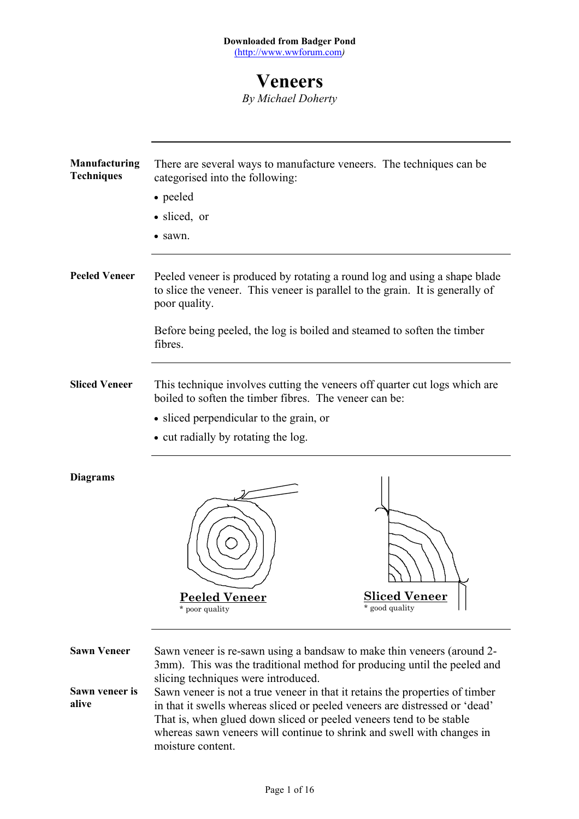# **Veneers**

*By Michael Doherty*

| <b>Manufacturing</b><br><b>Techniques</b> | There are several ways to manufacture veneers. The techniques can be<br>categorised into the following:                                                                                                                                                                                                                           |
|-------------------------------------------|-----------------------------------------------------------------------------------------------------------------------------------------------------------------------------------------------------------------------------------------------------------------------------------------------------------------------------------|
|                                           | • peeled                                                                                                                                                                                                                                                                                                                          |
|                                           | · sliced, or                                                                                                                                                                                                                                                                                                                      |
|                                           | • sawn.                                                                                                                                                                                                                                                                                                                           |
|                                           |                                                                                                                                                                                                                                                                                                                                   |
| <b>Peeled Veneer</b>                      | Peeled veneer is produced by rotating a round log and using a shape blade<br>to slice the veneer. This veneer is parallel to the grain. It is generally of<br>poor quality.                                                                                                                                                       |
|                                           | Before being peeled, the log is boiled and steamed to soften the timber<br>fibres.                                                                                                                                                                                                                                                |
| <b>Sliced Veneer</b>                      | This technique involves cutting the veneers off quarter cut logs which are<br>boiled to soften the timber fibres. The veneer can be:                                                                                                                                                                                              |
|                                           | • sliced perpendicular to the grain, or                                                                                                                                                                                                                                                                                           |
|                                           | • cut radially by rotating the log.                                                                                                                                                                                                                                                                                               |
| <b>Diagrams</b>                           |                                                                                                                                                                                                                                                                                                                                   |
|                                           |                                                                                                                                                                                                                                                                                                                                   |
|                                           | <b>Sliced Veneer</b><br><b>Peeled Veneer</b><br>* good quality<br>* poor quality                                                                                                                                                                                                                                                  |
| <b>Sawn Veneer</b>                        | Sawn veneer is re-sawn using a bandsaw to make thin veneers (around 2-<br>3mm). This was the traditional method for producing until the peeled and<br>slicing techniques were introduced.                                                                                                                                         |
| Sawn veneer is<br>alive                   | Sawn veneer is not a true veneer in that it retains the properties of timber<br>in that it swells whereas sliced or peeled veneers are distressed or 'dead'<br>That is, when glued down sliced or peeled veneers tend to be stable<br>whereas sawn veneers will continue to shrink and swell with changes in<br>moisture content. |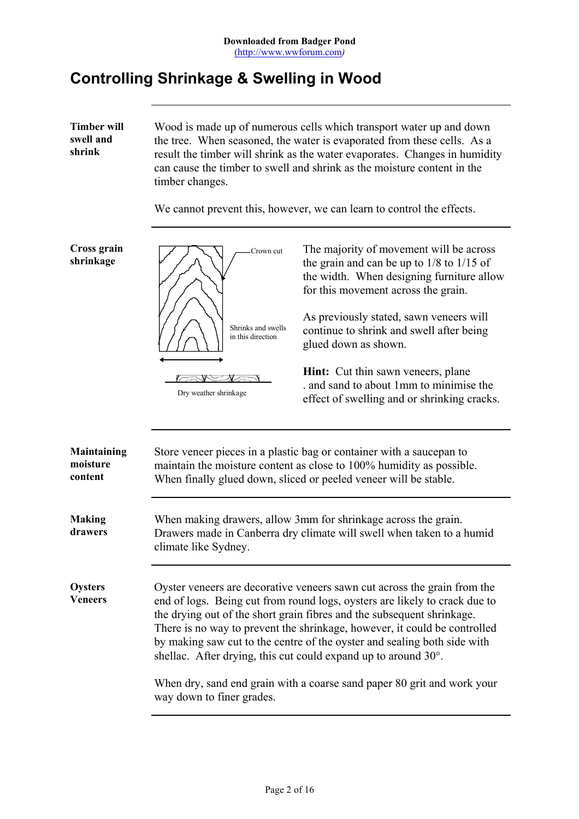# **Controlling Shrinkage & Swelling in Wood**

**Timber will swell and shrink** Wood is made up of numerous cells which transport water up and down the tree. When seasoned, the water is evaporated from these cells. As a result the timber will shrink as the water evaporates. Changes in humidity can cause the timber to swell and shrink as the moisture content in the timber changes.

We cannot prevent this, however, we can learn to control the effects.

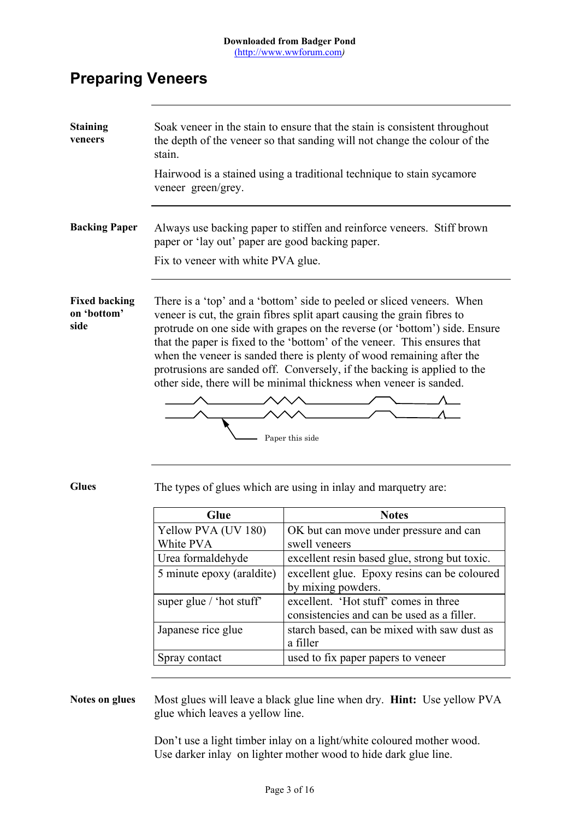# **Preparing Veneers**

| <b>Staining</b><br>veneers                  | Soak veneer in the stain to ensure that the stain is consistent throughout<br>the depth of the veneer so that sanding will not change the colour of the<br>stain.<br>Hairwood is a stained using a traditional technique to stain sycamore<br>veneer green/grey.                                                                                                                                                                                                                                                                                          |                                                                                     |  |
|---------------------------------------------|-----------------------------------------------------------------------------------------------------------------------------------------------------------------------------------------------------------------------------------------------------------------------------------------------------------------------------------------------------------------------------------------------------------------------------------------------------------------------------------------------------------------------------------------------------------|-------------------------------------------------------------------------------------|--|
| <b>Backing Paper</b>                        | Always use backing paper to stiffen and reinforce veneers. Stiff brown<br>paper or 'lay out' paper are good backing paper.<br>Fix to veneer with white PVA glue.                                                                                                                                                                                                                                                                                                                                                                                          |                                                                                     |  |
| <b>Fixed backing</b><br>on 'bottom'<br>side | There is a 'top' and a 'bottom' side to peeled or sliced veneers. When<br>veneer is cut, the grain fibres split apart causing the grain fibres to<br>protrude on one side with grapes on the reverse (or 'bottom') side. Ensure<br>that the paper is fixed to the 'bottom' of the veneer. This ensures that<br>when the veneer is sanded there is plenty of wood remaining after the<br>protrusions are sanded off. Conversely, if the backing is applied to the<br>other side, there will be minimal thickness when veneer is sanded.<br>Paper this side |                                                                                     |  |
| <b>Glues</b>                                |                                                                                                                                                                                                                                                                                                                                                                                                                                                                                                                                                           | The types of glues which are using in inlay and marquetry are:                      |  |
|                                             | Glue                                                                                                                                                                                                                                                                                                                                                                                                                                                                                                                                                      | <b>Notes</b>                                                                        |  |
|                                             | Yellow PVA (UV 180)<br>White PVA                                                                                                                                                                                                                                                                                                                                                                                                                                                                                                                          | OK but can move under pressure and can<br>swell veneers                             |  |
|                                             | Urea formaldehyde                                                                                                                                                                                                                                                                                                                                                                                                                                                                                                                                         | excellent resin based glue, strong but toxic.                                       |  |
|                                             | 5 minute epoxy (araldite)                                                                                                                                                                                                                                                                                                                                                                                                                                                                                                                                 | excellent glue. Epoxy resins can be coloured<br>by mixing powders.                  |  |
|                                             | super glue / 'hot stuff'                                                                                                                                                                                                                                                                                                                                                                                                                                                                                                                                  | excellent. 'Hot stuff' comes in three<br>consistencies and can be used as a filler. |  |
|                                             | Japanese rice glue                                                                                                                                                                                                                                                                                                                                                                                                                                                                                                                                        | starch based, can be mixed with saw dust as<br>a filler                             |  |
|                                             | Spray contact                                                                                                                                                                                                                                                                                                                                                                                                                                                                                                                                             | used to fix paper papers to veneer                                                  |  |
|                                             |                                                                                                                                                                                                                                                                                                                                                                                                                                                                                                                                                           |                                                                                     |  |

### **Notes on glues** Most glues will leave a black glue line when dry. **Hint:** Use yellow PVA glue which leaves a yellow line.

Don't use a light timber inlay on a light/white coloured mother wood. Use darker inlay on lighter mother wood to hide dark glue line.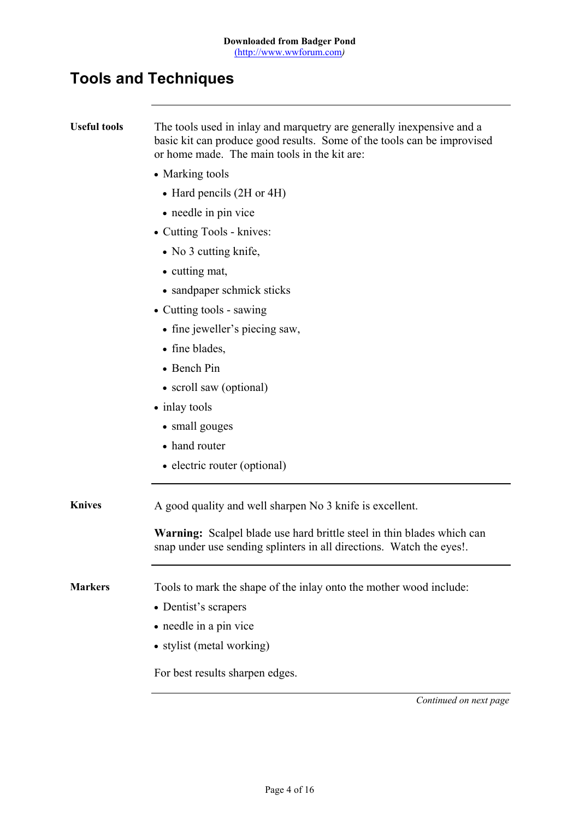# **Tools and Techniques**

| <b>Useful tools</b> | The tools used in inlay and marquetry are generally inexpensive and a<br>basic kit can produce good results. Some of the tools can be improvised<br>or home made. The main tools in the kit are: |
|---------------------|--------------------------------------------------------------------------------------------------------------------------------------------------------------------------------------------------|
|                     | • Marking tools                                                                                                                                                                                  |
|                     | • Hard pencils (2H or 4H)                                                                                                                                                                        |
|                     | • needle in pin vice                                                                                                                                                                             |
|                     | • Cutting Tools - knives:                                                                                                                                                                        |
|                     | • No 3 cutting knife,                                                                                                                                                                            |
|                     | • cutting mat,                                                                                                                                                                                   |
|                     | • sandpaper schmick sticks                                                                                                                                                                       |
|                     | • Cutting tools - sawing                                                                                                                                                                         |
|                     | • fine jeweller's piecing saw,                                                                                                                                                                   |
|                     | • fine blades,                                                                                                                                                                                   |
|                     | • Bench Pin                                                                                                                                                                                      |
|                     | • scroll saw (optional)                                                                                                                                                                          |
|                     | • inlay tools                                                                                                                                                                                    |
|                     | • small gouges                                                                                                                                                                                   |
|                     | • hand router                                                                                                                                                                                    |
|                     | • electric router (optional)                                                                                                                                                                     |
| <b>Knives</b>       | A good quality and well sharpen No 3 knife is excellent.                                                                                                                                         |
|                     | <b>Warning:</b> Scalpel blade use hard brittle steel in thin blades which can<br>snap under use sending splinters in all directions. Watch the eyes!.                                            |
| <b>Markers</b>      | Tools to mark the shape of the inlay onto the mother wood include:                                                                                                                               |
|                     | • Dentist's scrapers                                                                                                                                                                             |
|                     | • needle in a pin vice                                                                                                                                                                           |
|                     | • stylist (metal working)                                                                                                                                                                        |
|                     | For best results sharpen edges.                                                                                                                                                                  |
|                     | Continued on next page                                                                                                                                                                           |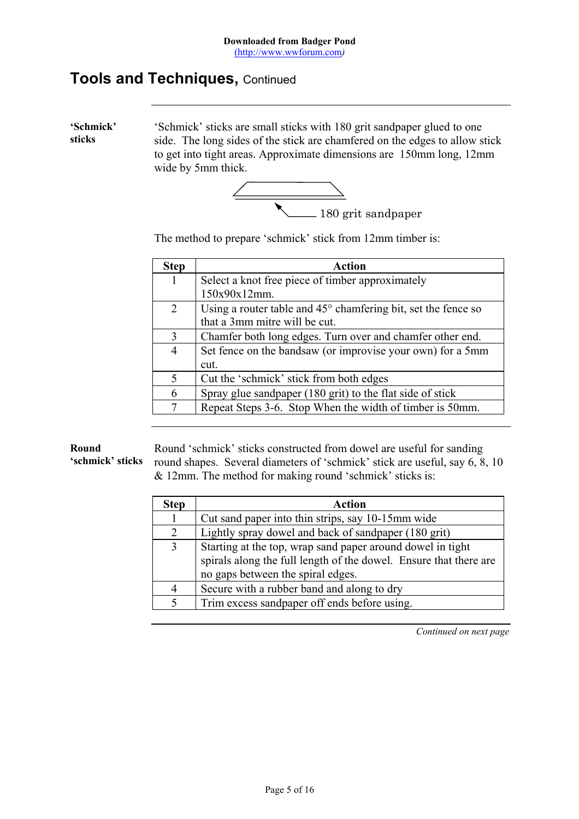## **Tools and Techniques,** Continued

**'Schmick' sticks** 'Schmick' sticks are small sticks with 180 grit sandpaper glued to one side. The long sides of the stick are chamfered on the edges to allow stick to get into tight areas. Approximate dimensions are 150mm long, 12mm wide by 5mm thick.



The method to prepare 'schmick' stick from 12mm timber is:

| <b>Step</b>    | <b>Action</b>                                                          |
|----------------|------------------------------------------------------------------------|
| 1              | Select a knot free piece of timber approximately                       |
|                | 150x90x12mm.                                                           |
| $\overline{2}$ | Using a router table and $45^{\circ}$ chamfering bit, set the fence so |
|                | that a 3mm mitre will be cut.                                          |
| 3              | Chamfer both long edges. Turn over and chamfer other end.              |
| 4              | Set fence on the bandsaw (or improvise your own) for a 5mm             |
|                | cut.                                                                   |
| 5              | Cut the 'schmick' stick from both edges                                |
| 6              | Spray glue sandpaper (180 grit) to the flat side of stick              |
| 7              | Repeat Steps 3-6. Stop When the width of timber is 50mm.               |

#### **Round**

**'schmick' sticks**

Round 'schmick' sticks constructed from dowel are useful for sanding round shapes. Several diameters of 'schmick' stick are useful, say 6, 8, 10 & 12mm. The method for making round 'schmick' sticks is:

| <b>Step</b> | Action                                                            |
|-------------|-------------------------------------------------------------------|
|             | Cut sand paper into thin strips, say 10-15mm wide                 |
| 2           | Lightly spray dowel and back of sandpaper (180 grit)              |
| 3           | Starting at the top, wrap sand paper around dowel in tight        |
|             | spirals along the full length of the dowel. Ensure that there are |
|             | no gaps between the spiral edges.                                 |
|             | Secure with a rubber band and along to dry                        |
|             | Trim excess sandpaper off ends before using.                      |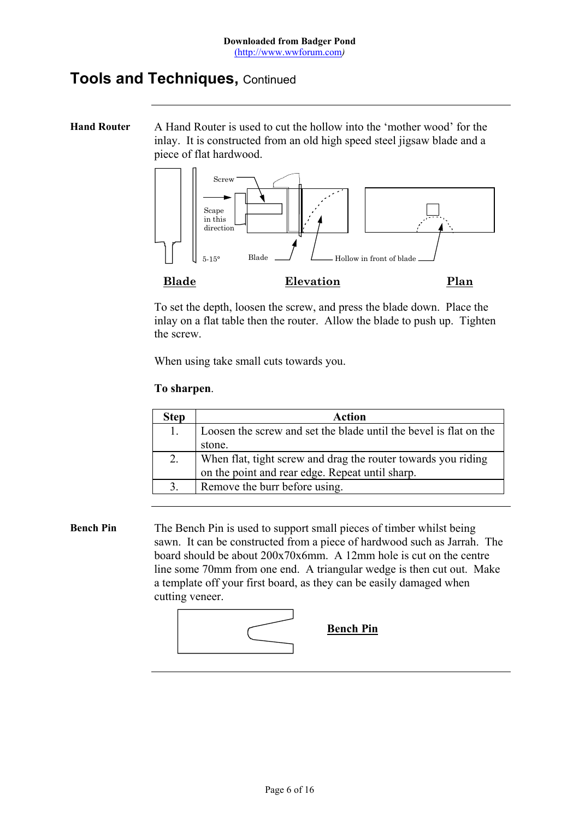# **Tools and Techniques,** Continued

**Hand Router** A Hand Router is used to cut the hollow into the 'mother wood' for the inlay. It is constructed from an old high speed steel jigsaw blade and a piece of flat hardwood.



To set the depth, loosen the screw, and press the blade down. Place the inlay on a flat table then the router. Allow the blade to push up. Tighten the screw.

When using take small cuts towards you.

#### **To sharpen**.

| <b>Step</b> | Action                                                            |
|-------------|-------------------------------------------------------------------|
|             | Loosen the screw and set the blade until the bevel is flat on the |
|             | stone.                                                            |
| 2.          | When flat, tight screw and drag the router towards you riding     |
|             | on the point and rear edge. Repeat until sharp.                   |
|             | Remove the burr before using.                                     |

**Bench Pin** The Bench Pin is used to support small pieces of timber whilst being sawn. It can be constructed from a piece of hardwood such as Jarrah. The board should be about 200x70x6mm. A 12mm hole is cut on the centre line some 70mm from one end. A triangular wedge is then cut out. Make a template off your first board, as they can be easily damaged when cutting veneer.

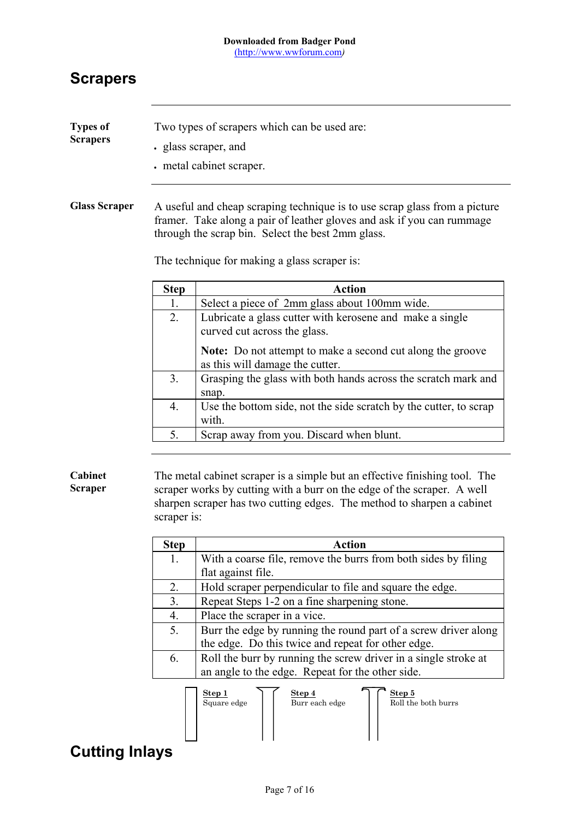# **Scrapers**

| <b>Types of</b><br><b>Scrapers</b> |                                                                                                                                                                                                                                                           | Two types of scrapers which can be used are:<br>· glass scraper, and<br>. metal cabinet scraper.                                                                                                                                |  |
|------------------------------------|-----------------------------------------------------------------------------------------------------------------------------------------------------------------------------------------------------------------------------------------------------------|---------------------------------------------------------------------------------------------------------------------------------------------------------------------------------------------------------------------------------|--|
| <b>Glass Scraper</b>               | A useful and cheap scraping technique is to use scrap glass from a picture<br>framer. Take along a pair of leather gloves and ask if you can rummage<br>through the scrap bin. Select the best 2mm glass.<br>The technique for making a glass scraper is: |                                                                                                                                                                                                                                 |  |
|                                    | <b>Step</b>                                                                                                                                                                                                                                               | <b>Action</b>                                                                                                                                                                                                                   |  |
|                                    | 1.                                                                                                                                                                                                                                                        | Select a piece of 2mm glass about 100mm wide.                                                                                                                                                                                   |  |
|                                    | 2.                                                                                                                                                                                                                                                        | Lubricate a glass cutter with kerosene and make a single<br>curved cut across the glass.                                                                                                                                        |  |
|                                    |                                                                                                                                                                                                                                                           | <b>Note:</b> Do not attempt to make a second cut along the groove<br>as this will damage the cutter.                                                                                                                            |  |
|                                    | 3.                                                                                                                                                                                                                                                        | Grasping the glass with both hands across the scratch mark and<br>snap.                                                                                                                                                         |  |
|                                    | 4.                                                                                                                                                                                                                                                        | Use the bottom side, not the side scratch by the cutter, to scrap<br>with.                                                                                                                                                      |  |
|                                    | 5.                                                                                                                                                                                                                                                        | Scrap away from you. Discard when blunt.                                                                                                                                                                                        |  |
| Cabinet<br><b>Scraper</b>          | scraper is:                                                                                                                                                                                                                                               | The metal cabinet scraper is a simple but an effective finishing tool. The<br>scraper works by cutting with a burr on the edge of the scraper. A well<br>sharpen scraper has two cutting edges. The method to sharpen a cabinet |  |
|                                    | <b>Step</b>                                                                                                                                                                                                                                               | <b>Action</b>                                                                                                                                                                                                                   |  |
|                                    | 1.                                                                                                                                                                                                                                                        | With a coarse file, remove the burrs from both sides by filing<br>flat against file.                                                                                                                                            |  |
|                                    | 2.                                                                                                                                                                                                                                                        | Hold scraper perpendicular to file and square the edge.                                                                                                                                                                         |  |
|                                    |                                                                                                                                                                                                                                                           | $\alpha$ $\alpha$ $\alpha$ $\alpha$ $\alpha$                                                                                                                                                                                    |  |

| 3. | Repeat Steps 1-2 on a fine sharpening stone.                    |
|----|-----------------------------------------------------------------|
| 4. | Place the scraper in a vice.                                    |
| 5. | Burr the edge by running the round part of a screw driver along |
|    | the edge. Do this twice and repeat for other edge.              |
| 6. | Roll the burr by running the screw driver in a single stroke at |
|    | an angle to the edge. Repeat for the other side.                |



# **Cutting Inlays**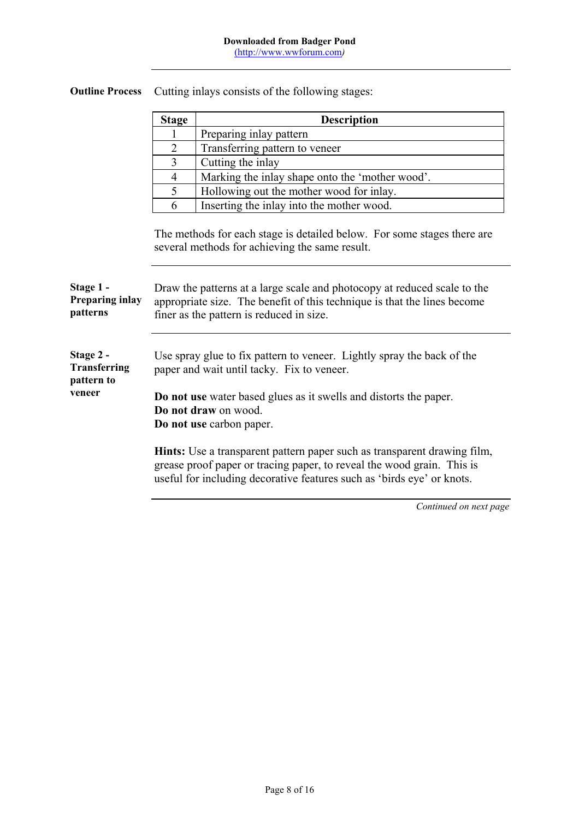|                                                          | <b>Stage</b>                                                                                                                                                                                                                                  | <b>Description</b>                                                                                                                                                                                                                  |
|----------------------------------------------------------|-----------------------------------------------------------------------------------------------------------------------------------------------------------------------------------------------------------------------------------------------|-------------------------------------------------------------------------------------------------------------------------------------------------------------------------------------------------------------------------------------|
|                                                          | 1                                                                                                                                                                                                                                             | Preparing inlay pattern                                                                                                                                                                                                             |
|                                                          | $\overline{2}$                                                                                                                                                                                                                                | Transferring pattern to veneer                                                                                                                                                                                                      |
|                                                          | $\overline{3}$                                                                                                                                                                                                                                | Cutting the inlay                                                                                                                                                                                                                   |
|                                                          | 4                                                                                                                                                                                                                                             | Marking the inlay shape onto the 'mother wood'.                                                                                                                                                                                     |
|                                                          | 5                                                                                                                                                                                                                                             | Hollowing out the mother wood for inlay.                                                                                                                                                                                            |
|                                                          | 6                                                                                                                                                                                                                                             | Inserting the inlay into the mother wood.                                                                                                                                                                                           |
|                                                          |                                                                                                                                                                                                                                               | The methods for each stage is detailed below. For some stages there are<br>several methods for achieving the same result.                                                                                                           |
| Stage 1 -<br>Preparing inlay<br>patterns                 |                                                                                                                                                                                                                                               | Draw the patterns at a large scale and photocopy at reduced scale to the<br>appropriate size. The benefit of this technique is that the lines become<br>finer as the pattern is reduced in size.                                    |
| Stage 2 -<br><b>Transferring</b><br>pattern to<br>veneer | Use spray glue to fix pattern to veneer. Lightly spray the back of the<br>paper and wait until tacky. Fix to veneer.<br>Do not use water based glues as it swells and distorts the paper.<br>Do not draw on wood.<br>Do not use carbon paper. |                                                                                                                                                                                                                                     |
|                                                          |                                                                                                                                                                                                                                               | <b>Hints:</b> Use a transparent pattern paper such as transparent drawing film,<br>grease proof paper or tracing paper, to reveal the wood grain. This is<br>useful for including decorative features such as 'birds eye' or knots. |

**Outline Process** Cutting inlays consists of the following stages:

 $\mathbf{r}$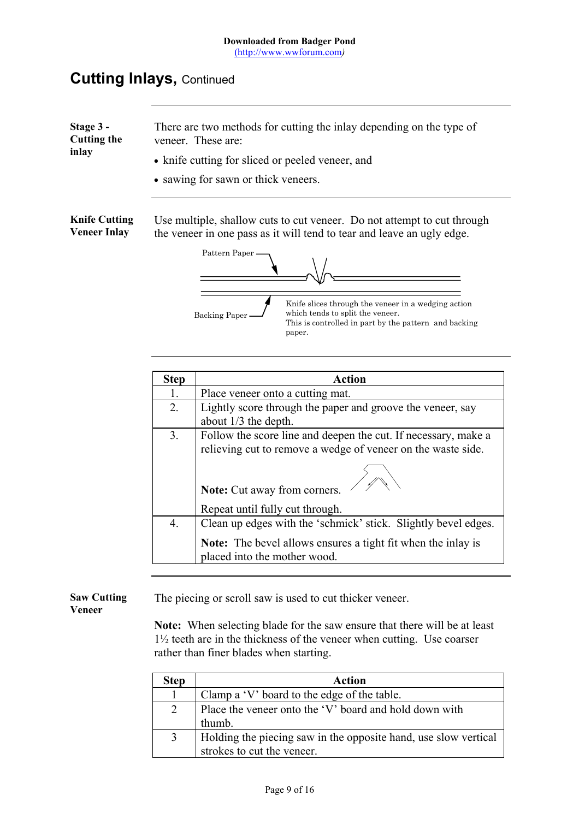| Stage 3 -<br><b>Cutting the</b><br>inlay    | There are two methods for cutting the inlay depending on the type of<br>veneer. These are:<br>• knife cutting for sliced or peeled veneer, and<br>• sawing for sawn or thick veneers.                                                                                                                                                                    |  |
|---------------------------------------------|----------------------------------------------------------------------------------------------------------------------------------------------------------------------------------------------------------------------------------------------------------------------------------------------------------------------------------------------------------|--|
| <b>Knife Cutting</b><br><b>Veneer Inlay</b> | Use multiple, shallow cuts to cut veneer. Do not attempt to cut through<br>the veneer in one pass as it will tend to tear and leave an ugly edge.<br>Pattern Paper<br>Knife slices through the veneer in a wedging action<br>which tends to split the veneer.<br><b>Backing Paper</b><br>This is controlled in part by the pattern and backing<br>paper. |  |
|                                             | $C_{tan}$<br>$A$ otion                                                                                                                                                                                                                                                                                                                                   |  |

| <b>Step</b> | <b>Action</b>                                                                                |
|-------------|----------------------------------------------------------------------------------------------|
| 1.          | Place veneer onto a cutting mat.                                                             |
| 2.          | Lightly score through the paper and groove the veneer, say                                   |
|             | about $1/3$ the depth.                                                                       |
| 3.          | Follow the score line and deepen the cut. If necessary, make a                               |
|             | relieving cut to remove a wedge of veneer on the waste side.                                 |
|             | Note: Cut away from corners.<br>Repeat until fully cut through.                              |
| 4.          | Clean up edges with the 'schmick' stick. Slightly bevel edges.                               |
|             | Note: The bevel allows ensures a tight fit when the inlay is<br>placed into the mother wood. |

**Saw Cutting Veneer** The piecing or scroll saw is used to cut thicker veneer.

> **Note:** When selecting blade for the saw ensure that there will be at least 1½ teeth are in the thickness of the veneer when cutting. Use coarser rather than finer blades when starting.

| <b>Step</b>    | <b>Action</b>                                                                                 |
|----------------|-----------------------------------------------------------------------------------------------|
| $\mathbf{1}$   | Clamp a 'V' board to the edge of the table.                                                   |
| $\overline{2}$ | Place the veneer onto the 'V' board and hold down with<br>thumb.                              |
| 3              | Holding the piecing saw in the opposite hand, use slow vertical<br>strokes to cut the veneer. |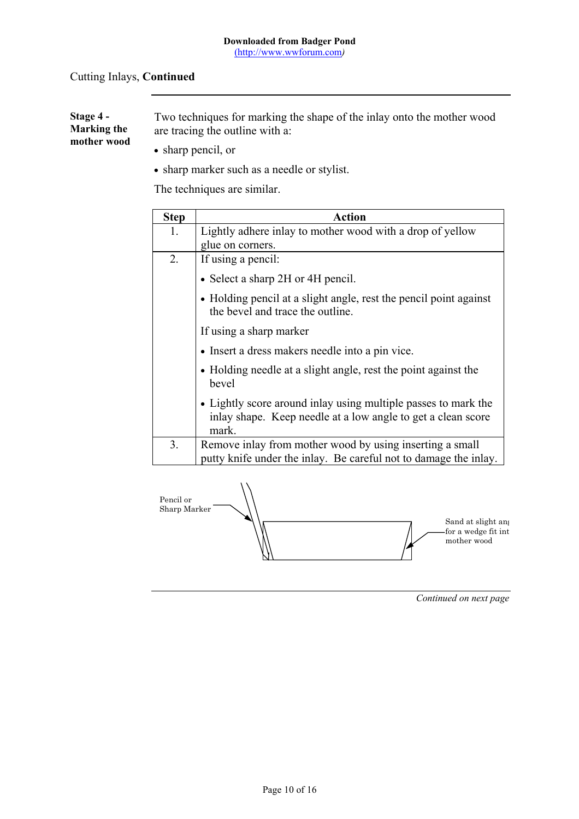| <b>Stage 4 -</b><br><b>Marking the</b> | Two techniques for marking the shape of the inlay onto the mother wood<br>are tracing the outline with a: |
|----------------------------------------|-----------------------------------------------------------------------------------------------------------|
| mother wood                            | $\bullet$ sharp pencil, or                                                                                |
|                                        | • sharp marker such as a needle or stylist.                                                               |

The techniques are similar.

| <b>Step</b> | <b>Action</b>                                                                                                                           |
|-------------|-----------------------------------------------------------------------------------------------------------------------------------------|
| 1.          | Lightly adhere inlay to mother wood with a drop of yellow                                                                               |
|             | glue on corners.                                                                                                                        |
| 2.          | If using a pencil:                                                                                                                      |
|             | • Select a sharp 2H or 4H pencil.                                                                                                       |
|             | • Holding pencil at a slight angle, rest the pencil point against<br>the bevel and trace the outline.                                   |
|             | If using a sharp marker                                                                                                                 |
|             | • Insert a dress makers needle into a pin vice.                                                                                         |
|             | • Holding needle at a slight angle, rest the point against the<br>bevel                                                                 |
|             | • Lightly score around inlay using multiple passes to mark the<br>inlay shape. Keep needle at a low angle to get a clean score<br>mark. |
| 3.          | Remove inlay from mother wood by using inserting a small<br>putty knife under the inlay. Be careful not to damage the inlay.            |

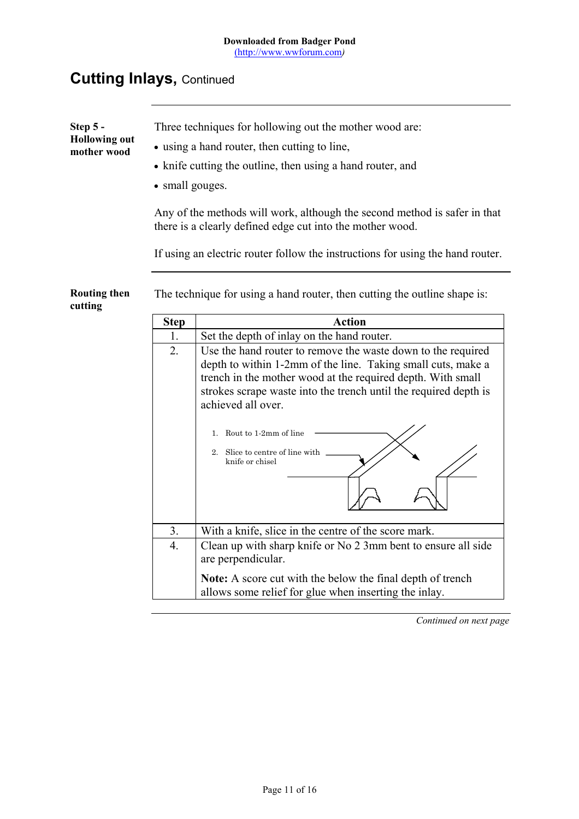| Step 5 -<br><b>Hollowing out</b><br>mother wood | Three techniques for hollowing out the mother wood are:<br>• using a hand router, then cutting to line,<br>• knife cutting the outline, then using a hand router, and<br>• small gouges.<br>Any of the methods will work, although the second method is safer in that<br>there is a clearly defined edge cut into the mother wood.<br>If using an electric router follow the instructions for using the hand router. |                                                                                                                                                                                                                       |
|-------------------------------------------------|----------------------------------------------------------------------------------------------------------------------------------------------------------------------------------------------------------------------------------------------------------------------------------------------------------------------------------------------------------------------------------------------------------------------|-----------------------------------------------------------------------------------------------------------------------------------------------------------------------------------------------------------------------|
| <b>Routing then</b><br>cutting                  | The technique for using a hand router, then cutting the outline shape is:                                                                                                                                                                                                                                                                                                                                            |                                                                                                                                                                                                                       |
|                                                 | <b>Step</b>                                                                                                                                                                                                                                                                                                                                                                                                          | <b>Action</b>                                                                                                                                                                                                         |
|                                                 | 1.                                                                                                                                                                                                                                                                                                                                                                                                                   | Set the depth of inlay on the hand router.                                                                                                                                                                            |
|                                                 | $\overline{2}$ .                                                                                                                                                                                                                                                                                                                                                                                                     | Use the hand router to remove the waste down to the required                                                                                                                                                          |
|                                                 |                                                                                                                                                                                                                                                                                                                                                                                                                      | depth to within 1-2mm of the line. Taking small cuts, make a<br>trench in the mother wood at the required depth. With small<br>strokes scrape waste into the trench until the required depth is<br>achieved all over. |
|                                                 |                                                                                                                                                                                                                                                                                                                                                                                                                      | Rout to 1-2mm of line<br>1.                                                                                                                                                                                           |
|                                                 |                                                                                                                                                                                                                                                                                                                                                                                                                      | 2. Slice to centre of line with<br>knife or chisel                                                                                                                                                                    |
|                                                 | 3.                                                                                                                                                                                                                                                                                                                                                                                                                   | With a knife, slice in the centre of the score mark.                                                                                                                                                                  |
|                                                 | $\overline{4}$ .                                                                                                                                                                                                                                                                                                                                                                                                     | Clean up with sharp knife or No 2 3mm bent to ensure all side<br>are perpendicular.                                                                                                                                   |
|                                                 |                                                                                                                                                                                                                                                                                                                                                                                                                      | Note: A score cut with the below the final depth of trench<br>allows some relief for glue when inserting the inlay.                                                                                                   |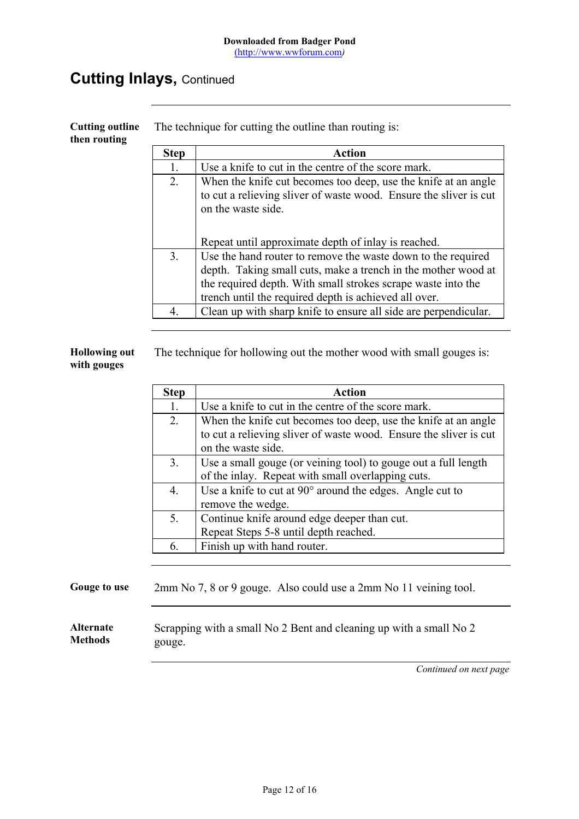| <b>Cutting outline</b><br>then routing | The technique for cutting the outline than routing is: |                                                                                                                                                                                                                                                        |  |  |
|----------------------------------------|--------------------------------------------------------|--------------------------------------------------------------------------------------------------------------------------------------------------------------------------------------------------------------------------------------------------------|--|--|
|                                        | <b>Step</b>                                            | Action                                                                                                                                                                                                                                                 |  |  |
|                                        | 1.                                                     | Use a knife to cut in the centre of the score mark.                                                                                                                                                                                                    |  |  |
|                                        | 2.                                                     | When the knife cut becomes too deep, use the knife at an angle<br>to cut a relieving sliver of waste wood. Ensure the sliver is cut<br>on the waste side.                                                                                              |  |  |
|                                        |                                                        | Repeat until approximate depth of inlay is reached.                                                                                                                                                                                                    |  |  |
|                                        | 3 <sub>1</sub>                                         | Use the hand router to remove the waste down to the required<br>depth. Taking small cuts, make a trench in the mother wood at<br>the required depth. With small strokes scrape waste into the<br>trench until the required depth is achieved all over. |  |  |
|                                        | $\overline{4}$ .                                       | Clean up with sharp knife to ensure all side are perpendicular.                                                                                                                                                                                        |  |  |

**Hollowing out with gouges** The technique for hollowing out the mother wood with small gouges is:

| <b>Action</b>                                                     |
|-------------------------------------------------------------------|
| Use a knife to cut in the centre of the score mark.               |
| When the knife cut becomes too deep, use the knife at an angle    |
| to cut a relieving sliver of waste wood. Ensure the sliver is cut |
| on the waste side.                                                |
| Use a small gouge (or veining tool) to gouge out a full length    |
| of the inlay. Repeat with small overlapping cuts.                 |
| Use a knife to cut at $90^{\circ}$ around the edges. Angle cut to |
| remove the wedge.                                                 |
| Continue knife around edge deeper than cut.                       |
| Repeat Steps 5-8 until depth reached.                             |
| Finish up with hand router.                                       |
|                                                                   |

Gouge to use 2mm No 7, 8 or 9 gouge. Also could use a 2mm No 11 veining tool.

**Alternate Methods** Scrapping with a small No 2 Bent and cleaning up with a small No 2 gouge.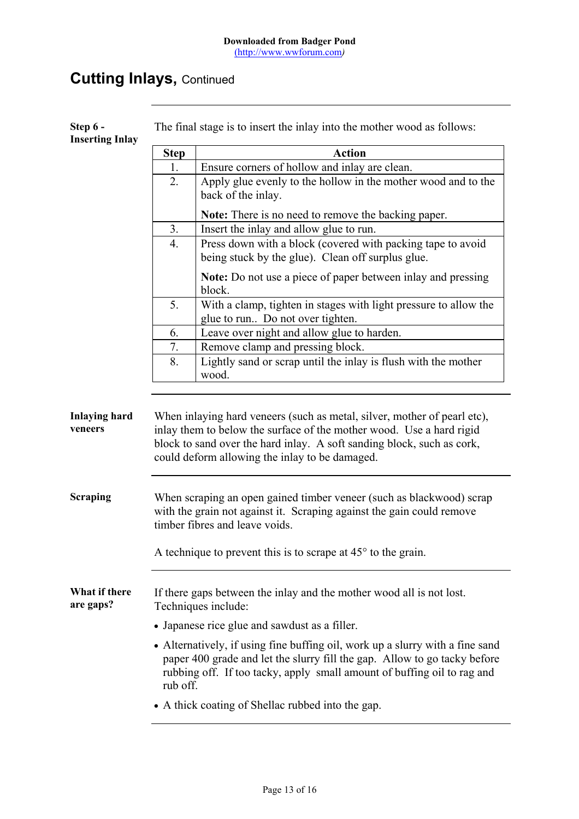**Step 6 - Inserting Inlay** The final stage is to insert the inlay into the mother wood as follows: **Step Action** 1. Ensure corners of hollow and inlay are clean. 2. Apply glue evenly to the hollow in the mother wood and to the back of the inlay. **Note:** There is no need to remove the backing paper. 3. Insert the inlay and allow glue to run. 4. Press down with a block (covered with packing tape to avoid being stuck by the glue). Clean off surplus glue. **Note:** Do not use a piece of paper between inlay and pressing block. 5. With a clamp, tighten in stages with light pressure to allow the glue to run.. Do not over tighten. 6. Leave over night and allow glue to harden. 7. Remove clamp and pressing block. 8. Lightly sand or scrap until the inlay is flush with the mother wood. **Inlaying hard veneers** When inlaying hard veneers (such as metal, silver, mother of pearl etc), inlay them to below the surface of the mother wood. Use a hard rigid block to sand over the hard inlay. A soft sanding block, such as cork, could deform allowing the inlay to be damaged. **Scraping** When scraping an open gained timber veneer (such as blackwood) scrap with the grain not against it. Scraping against the gain could remove timber fibres and leave voids. A technique to prevent this is to scrape at 45° to the grain. **What if there are gaps?** If there gaps between the inlay and the mother wood all is not lost. Techniques include: • Japanese rice glue and sawdust as a filler. • Alternatively, if using fine buffing oil, work up a slurry with a fine sand paper 400 grade and let the slurry fill the gap. Allow to go tacky before rubbing off. If too tacky, apply small amount of buffing oil to rag and rub off. • A thick coating of Shellac rubbed into the gap.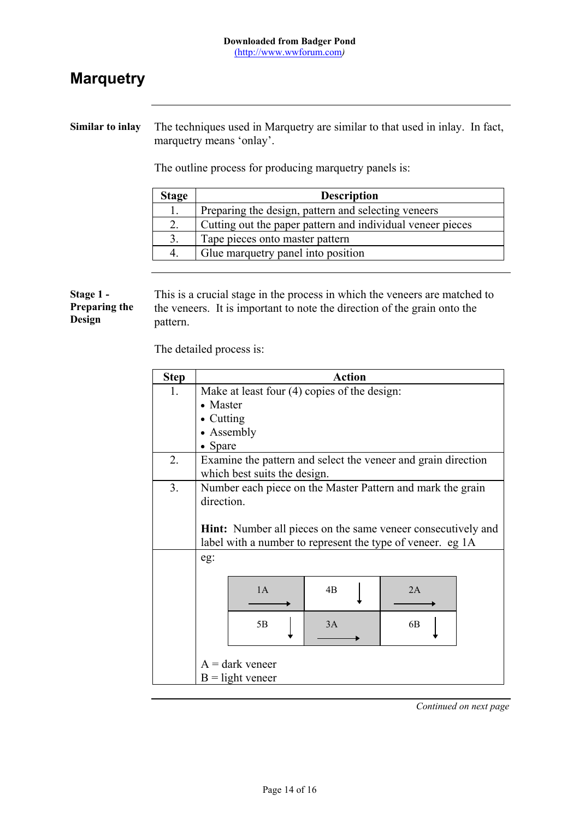# **Marquetry**

**Similar to inlay** The techniques used in Marquetry are similar to that used in inlay. In fact, marquetry means 'onlay'.

The outline process for producing marquetry panels is:

| <b>Stage</b> | <b>Description</b>                                         |
|--------------|------------------------------------------------------------|
|              | Preparing the design, pattern and selecting veneers        |
| 2.           | Cutting out the paper pattern and individual veneer pieces |
| 3.           | Tape pieces onto master pattern                            |
| 4            | Glue marquetry panel into position                         |

#### **Stage 1 - Preparing the Design** This is a crucial stage in the process in which the veneers are matched to the veneers. It is important to note the direction of the grain onto the pattern.

The detailed process is:

| <b>Step</b> |                                                                     | <b>Action</b>                                              |    |  |
|-------------|---------------------------------------------------------------------|------------------------------------------------------------|----|--|
| 1.          | Make at least four (4) copies of the design:                        |                                                            |    |  |
|             | • Master                                                            |                                                            |    |  |
|             | $\bullet$ Cutting                                                   |                                                            |    |  |
|             | • Assembly                                                          |                                                            |    |  |
|             | Spare                                                               |                                                            |    |  |
| 2.          | Examine the pattern and select the veneer and grain direction       |                                                            |    |  |
|             | which best suits the design.                                        |                                                            |    |  |
| 3.          | Number each piece on the Master Pattern and mark the grain          |                                                            |    |  |
|             | direction.                                                          |                                                            |    |  |
|             |                                                                     |                                                            |    |  |
|             | <b>Hint:</b> Number all pieces on the same veneer consecutively and |                                                            |    |  |
|             |                                                                     | label with a number to represent the type of veneer. eg 1A |    |  |
|             | eg:                                                                 |                                                            |    |  |
|             |                                                                     |                                                            |    |  |
|             | 1A                                                                  | 4B                                                         | 2A |  |
|             |                                                                     |                                                            |    |  |
|             | 5B                                                                  | 3A                                                         | 6B |  |
|             |                                                                     |                                                            |    |  |
|             |                                                                     |                                                            |    |  |
|             | $A =$ dark veneer                                                   |                                                            |    |  |
|             | $B =$ light veneer                                                  |                                                            |    |  |
|             |                                                                     |                                                            |    |  |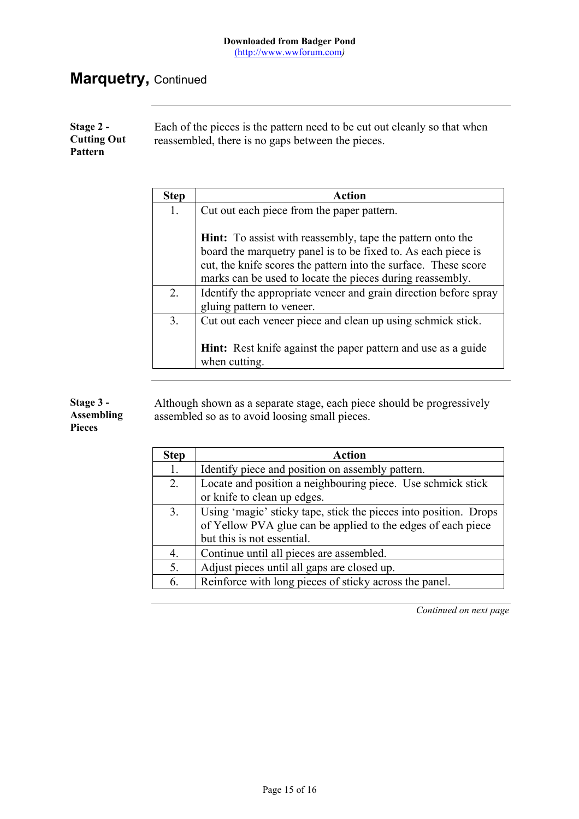# **Marquetry,** Continued

| Stage $2 -$<br><b>Cutting Out</b><br><b>Pattern</b> | Each of the pieces is the pattern need to be cut out cleanly so that when<br>reassembled, there is no gaps between the pieces. |
|-----------------------------------------------------|--------------------------------------------------------------------------------------------------------------------------------|
|-----------------------------------------------------|--------------------------------------------------------------------------------------------------------------------------------|

| <b>Step</b> | <b>Action</b>                                                                                                                                                                                                                                                      |
|-------------|--------------------------------------------------------------------------------------------------------------------------------------------------------------------------------------------------------------------------------------------------------------------|
| 1.          | Cut out each piece from the paper pattern.                                                                                                                                                                                                                         |
|             | <b>Hint:</b> To assist with reassembly, tape the pattern onto the<br>board the marquetry panel is to be fixed to. As each piece is<br>cut, the knife scores the pattern into the surface. These score<br>marks can be used to locate the pieces during reassembly. |
| 2.          | Identify the appropriate veneer and grain direction before spray                                                                                                                                                                                                   |
|             | gluing pattern to veneer.                                                                                                                                                                                                                                          |
| 3.          | Cut out each veneer piece and clean up using schmick stick.                                                                                                                                                                                                        |
|             | <b>Hint:</b> Rest knife against the paper pattern and use as a guide<br>when cutting.                                                                                                                                                                              |

**Stage 3 - Assembling Pieces**

Although shown as a separate stage, each piece should be progressively assembled so as to avoid loosing small pieces.

| <b>Step</b>    | <b>Action</b>                                                    |
|----------------|------------------------------------------------------------------|
| 1.             | Identify piece and position on assembly pattern.                 |
| 2.             | Locate and position a neighbouring piece. Use schmick stick      |
|                | or knife to clean up edges.                                      |
| 3 <sub>1</sub> | Using 'magic' sticky tape, stick the pieces into position. Drops |
|                | of Yellow PVA glue can be applied to the edges of each piece     |
|                | but this is not essential.                                       |
| 4.             | Continue until all pieces are assembled.                         |
| 5.             | Adjust pieces until all gaps are closed up.                      |
| 6.             | Reinforce with long pieces of sticky across the panel.           |